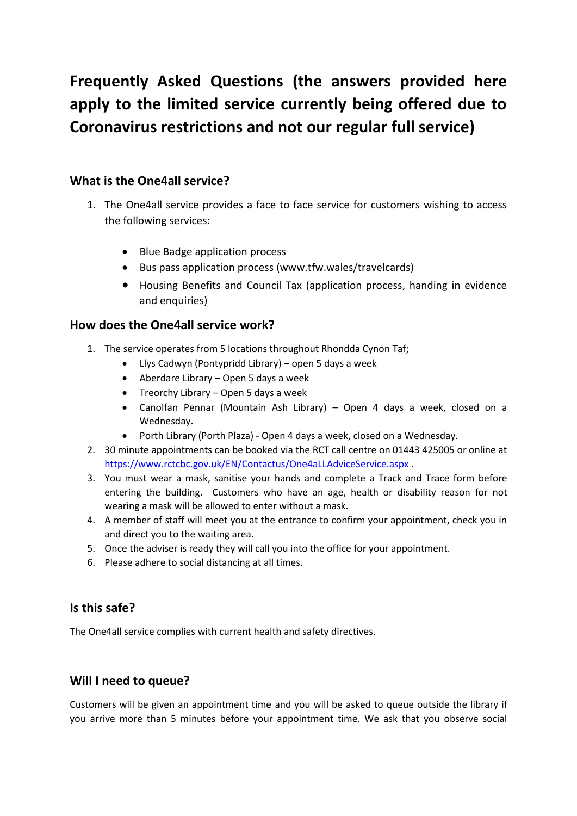# **Frequently Asked Questions (the answers provided here apply to the limited service currently being offered due to Coronavirus restrictions and not our regular full service)**

# **What is the One4all service?**

- 1. The One4all service provides a face to face service for customers wishing to access the following services:
	- Blue Badge application process
	- Bus pass application process (www.tfw.wales/travelcards)
	- Housing Benefits and Council Tax (application process, handing in evidence and enquiries)

# **How does the One4all service work?**

- 1. The service operates from 5 locations throughout Rhondda Cynon Taf;
	- Llys Cadwyn (Pontypridd Library) open 5 days a week
	- Aberdare Library Open 5 days a week
	- Treorchy Library Open 5 days a week
	- Canolfan Pennar (Mountain Ash Library) Open 4 days a week, closed on a Wednesday.
	- Porth Library (Porth Plaza) Open 4 days a week, closed on a Wednesday.
- 2. 30 minute appointments can be booked via the RCT call centre on 01443 425005 or online at <https://www.rctcbc.gov.uk/EN/Contactus/One4aLLAdviceService.aspx> .
- 3. You must wear a mask, sanitise your hands and complete a Track and Trace form before entering the building. Customers who have an age, health or disability reason for not wearing a mask will be allowed to enter without a mask.
- 4. A member of staff will meet you at the entrance to confirm your appointment, check you in and direct you to the waiting area.
- 5. Once the adviser is ready they will call you into the office for your appointment.
- 6. Please adhere to social distancing at all times.

#### **Is this safe?**

The One4all service complies with current health and safety directives.

# **Will I need to queue?**

Customers will be given an appointment time and you will be asked to queue outside the library if you arrive more than 5 minutes before your appointment time. We ask that you observe social